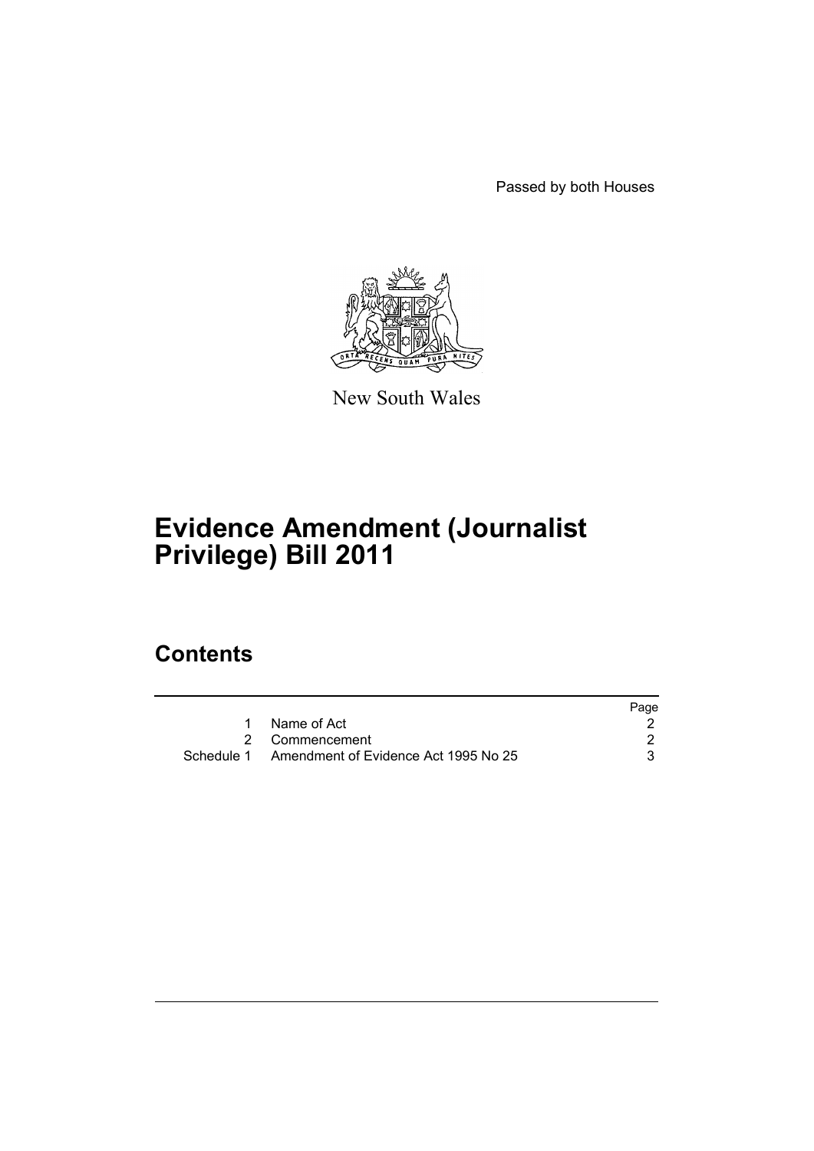Passed by both Houses



New South Wales

# **Evidence Amendment (Journalist Privilege) Bill 2011**

# **Contents**

|                                                 | Page |
|-------------------------------------------------|------|
| Name of Act                                     |      |
| 2 Commencement                                  |      |
| Schedule 1 Amendment of Evidence Act 1995 No 25 |      |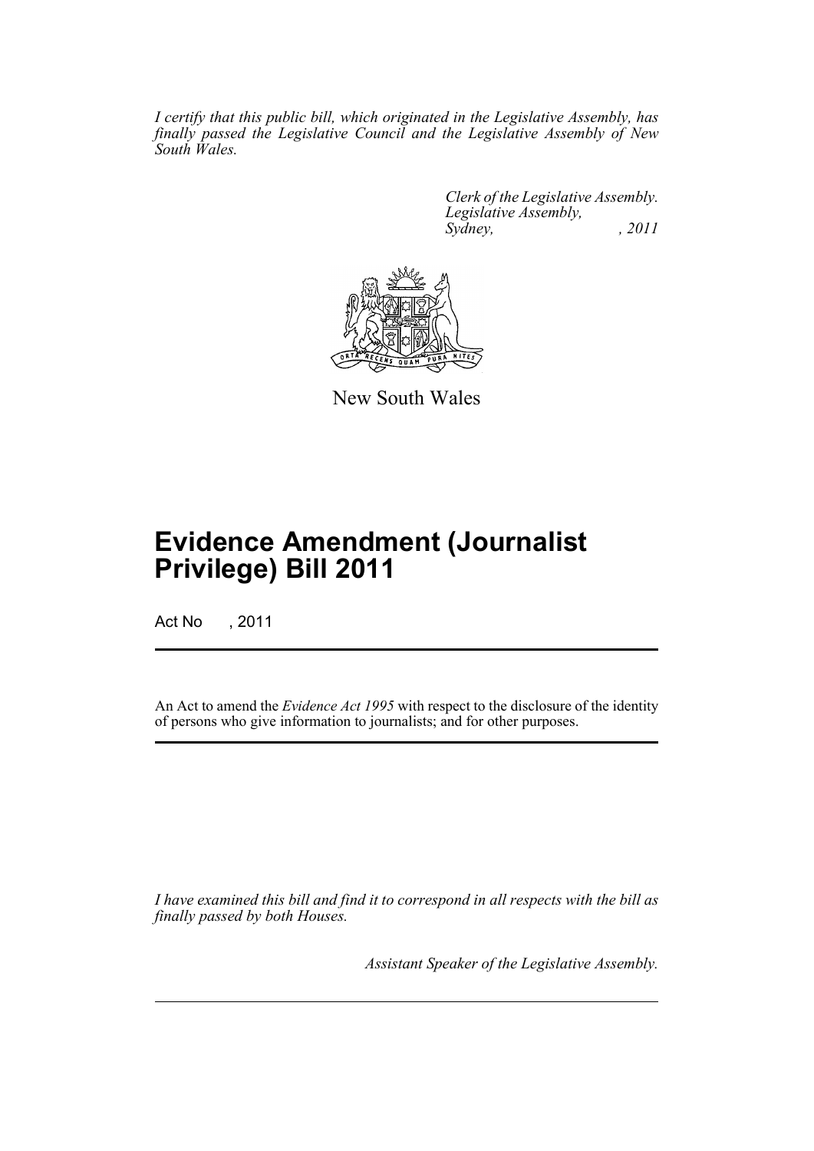*I certify that this public bill, which originated in the Legislative Assembly, has finally passed the Legislative Council and the Legislative Assembly of New South Wales.*

> *Clerk of the Legislative Assembly. Legislative Assembly, Sydney, , 2011*



New South Wales

# **Evidence Amendment (Journalist Privilege) Bill 2011**

Act No , 2011

An Act to amend the *Evidence Act 1995* with respect to the disclosure of the identity of persons who give information to journalists; and for other purposes.

*I have examined this bill and find it to correspond in all respects with the bill as finally passed by both Houses.*

*Assistant Speaker of the Legislative Assembly.*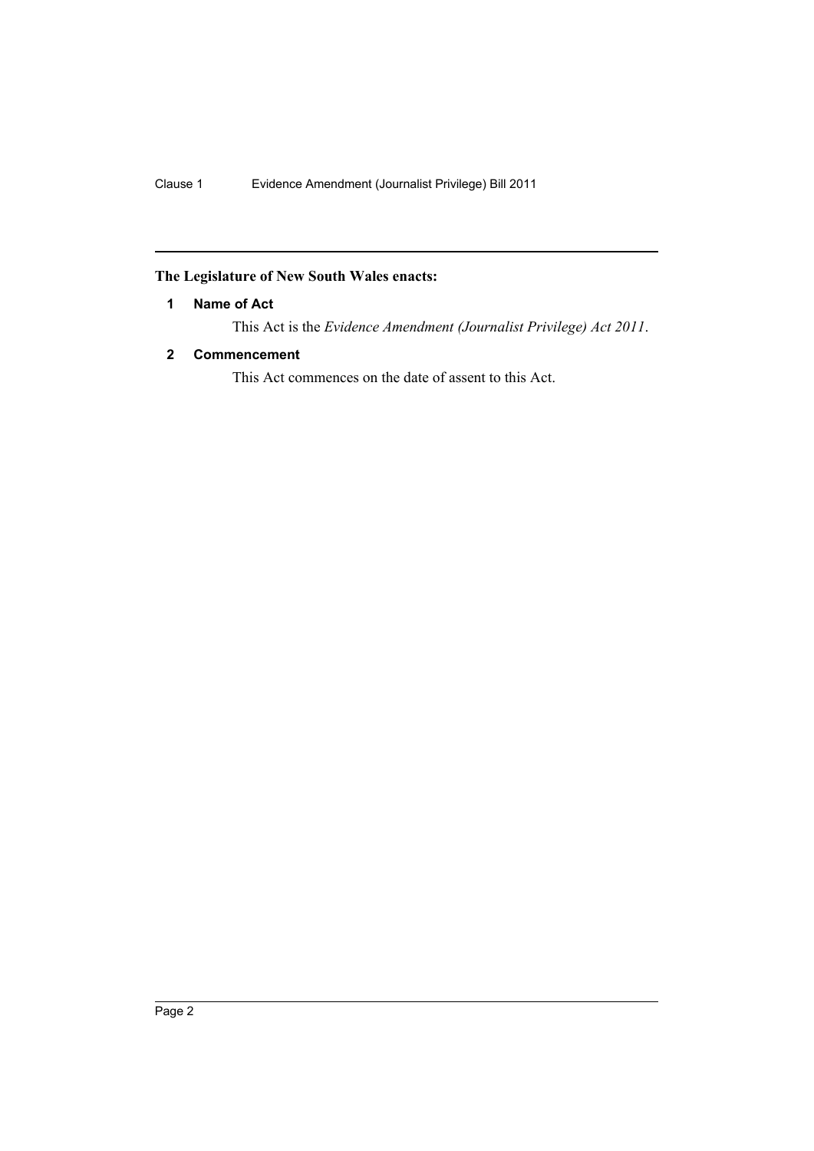## <span id="page-3-0"></span>**The Legislature of New South Wales enacts:**

### **1 Name of Act**

This Act is the *Evidence Amendment (Journalist Privilege) Act 2011*.

### <span id="page-3-1"></span>**2 Commencement**

This Act commences on the date of assent to this Act.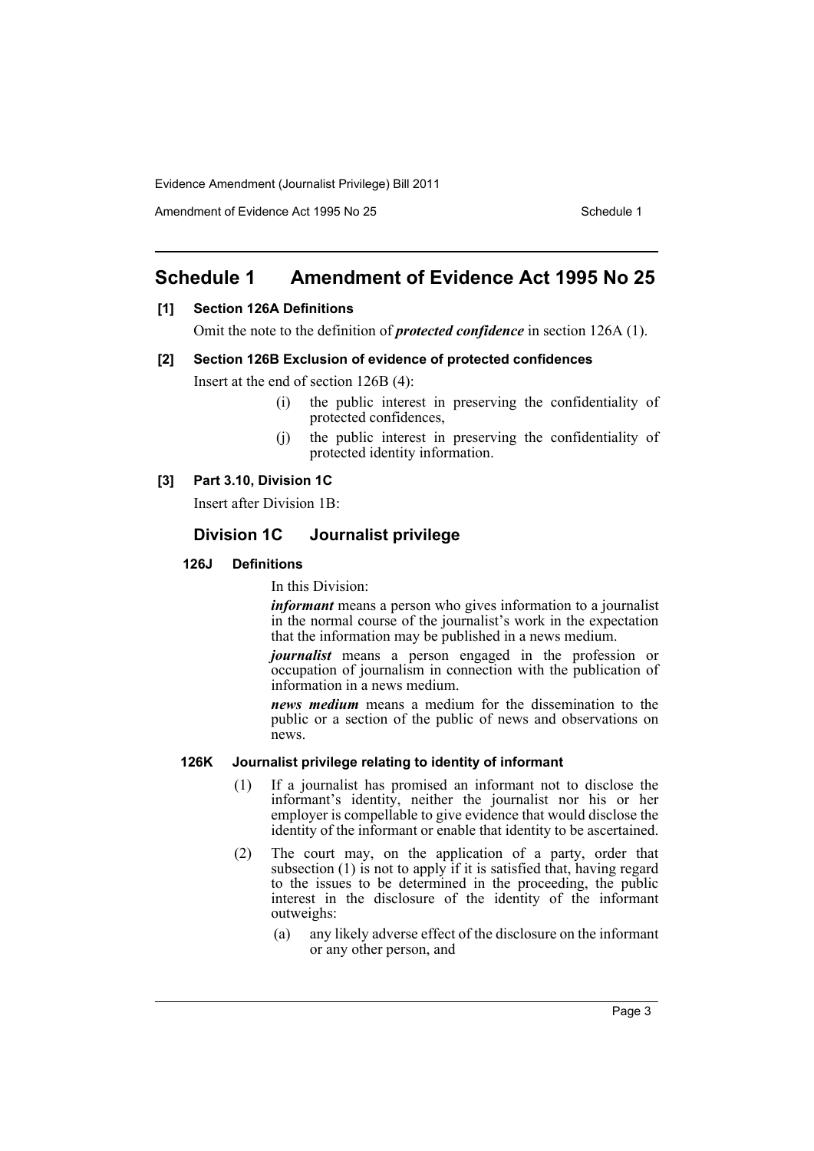Evidence Amendment (Journalist Privilege) Bill 2011

Amendment of Evidence Act 1995 No 25 Schedule 1

# <span id="page-4-0"></span>**Schedule 1 Amendment of Evidence Act 1995 No 25**

#### **[1] Section 126A Definitions**

Omit the note to the definition of *protected confidence* in section 126A (1).

#### **[2] Section 126B Exclusion of evidence of protected confidences**

Insert at the end of section 126B (4):

- (i) the public interest in preserving the confidentiality of protected confidences,
- (j) the public interest in preserving the confidentiality of protected identity information.

#### **[3] Part 3.10, Division 1C**

Insert after Division 1B:

## **Division 1C Journalist privilege**

#### **126J Definitions**

In this Division:

*informant* means a person who gives information to a journalist in the normal course of the journalist's work in the expectation that the information may be published in a news medium.

*journalist* means a person engaged in the profession or occupation of journalism in connection with the publication of information in a news medium.

*news medium* means a medium for the dissemination to the public or a section of the public of news and observations on news.

### **126K Journalist privilege relating to identity of informant**

- (1) If a journalist has promised an informant not to disclose the informant's identity, neither the journalist nor his or her employer is compellable to give evidence that would disclose the identity of the informant or enable that identity to be ascertained.
- (2) The court may, on the application of a party, order that subsection  $(1)$  is not to apply if it is satisfied that, having regard to the issues to be determined in the proceeding, the public interest in the disclosure of the identity of the informant outweighs:
	- (a) any likely adverse effect of the disclosure on the informant or any other person, and